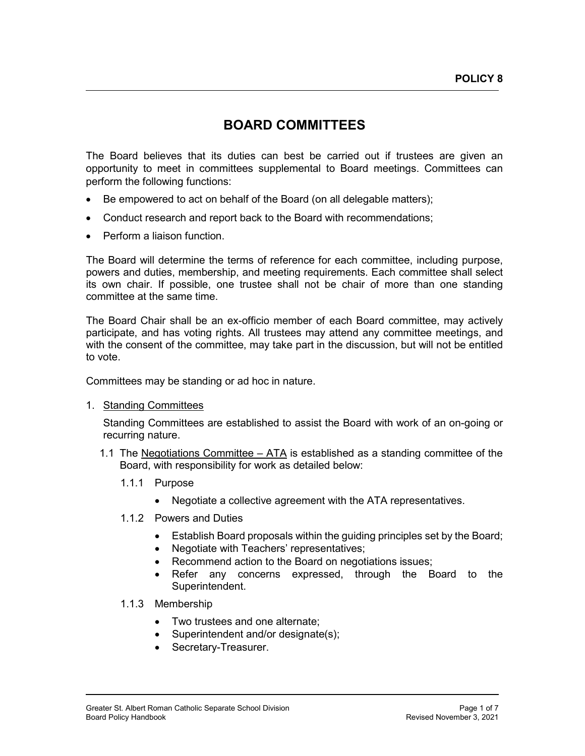# **BOARD COMMITTEES**

The Board believes that its duties can best be carried out if trustees are given an opportunity to meet in committees supplemental to Board meetings. Committees can perform the following functions:

- Be empowered to act on behalf of the Board (on all delegable matters);
- Conduct research and report back to the Board with recommendations;
- Perform a liaison function.

The Board will determine the terms of reference for each committee, including purpose, powers and duties, membership, and meeting requirements. Each committee shall select its own chair. If possible, one trustee shall not be chair of more than one standing committee at the same time.

The Board Chair shall be an ex-officio member of each Board committee, may actively participate, and has voting rights. All trustees may attend any committee meetings, and with the consent of the committee, may take part in the discussion, but will not be entitled to vote.

Committees may be standing or ad hoc in nature.

1. Standing Committees

Standing Committees are established to assist the Board with work of an on-going or recurring nature.

- 1.1 The Negotiations Committee ATA is established as a standing committee of the Board, with responsibility for work as detailed below:
	- 1.1.1 Purpose
		- Negotiate a collective agreement with the ATA representatives.
	- 1.1.2 Powers and Duties
		- Establish Board proposals within the guiding principles set by the Board;
		- Negotiate with Teachers' representatives;
		- Recommend action to the Board on negotiations issues;
		- Refer any concerns expressed, through the Board to the Superintendent.

1.1.3 Membership

- Two trustees and one alternate;
- Superintendent and/or designate(s);
- Secretary-Treasurer.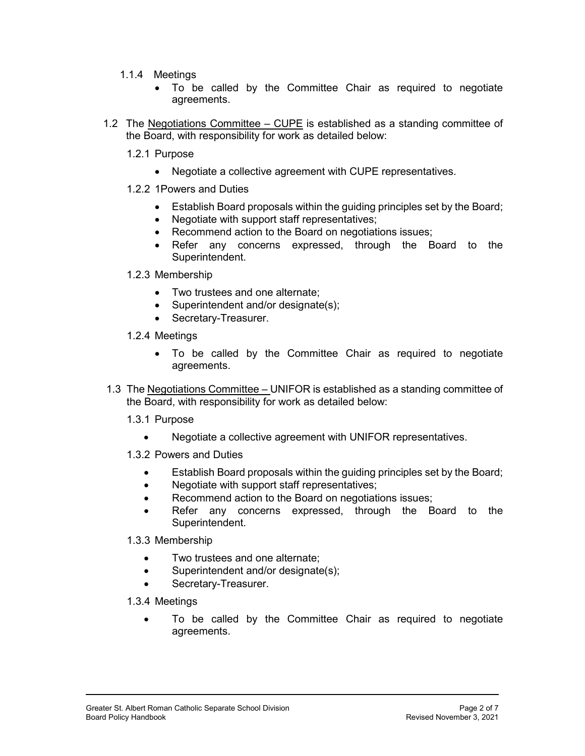- 1.1.4 Meetings
	- To be called by the Committee Chair as required to negotiate agreements.
- 1.2 The Negotiations Committee CUPE is established as a standing committee of the Board, with responsibility for work as detailed below:
	- 1.2.1 Purpose
		- Negotiate a collective agreement with CUPE representatives.
	- 1.2.2 1Powers and Duties
		- Establish Board proposals within the guiding principles set by the Board;
		- Negotiate with support staff representatives;
		- Recommend action to the Board on negotiations issues;
		- Refer any concerns expressed, through the Board to the Superintendent.
	- 1.2.3 Membership
		- Two trustees and one alternate;
		- Superintendent and/or designate(s);
		- Secretary-Treasurer.
	- 1.2.4 Meetings
		- To be called by the Committee Chair as required to negotiate agreements.
- 1.3 The Negotiations Committee UNIFOR is established as a standing committee of the Board, with responsibility for work as detailed below:
	- 1.3.1 Purpose
		- Negotiate a collective agreement with UNIFOR representatives.
	- 1.3.2 Powers and Duties
		- Establish Board proposals within the guiding principles set by the Board;
		- Negotiate with support staff representatives;
		- Recommend action to the Board on negotiations issues;
		- Refer any concerns expressed, through the Board to the Superintendent.
	- 1.3.3 Membership
		- Two trustees and one alternate;
		- Superintendent and/or designate(s);
		- Secretary-Treasurer.
	- 1.3.4 Meetings
		- To be called by the Committee Chair as required to negotiate agreements.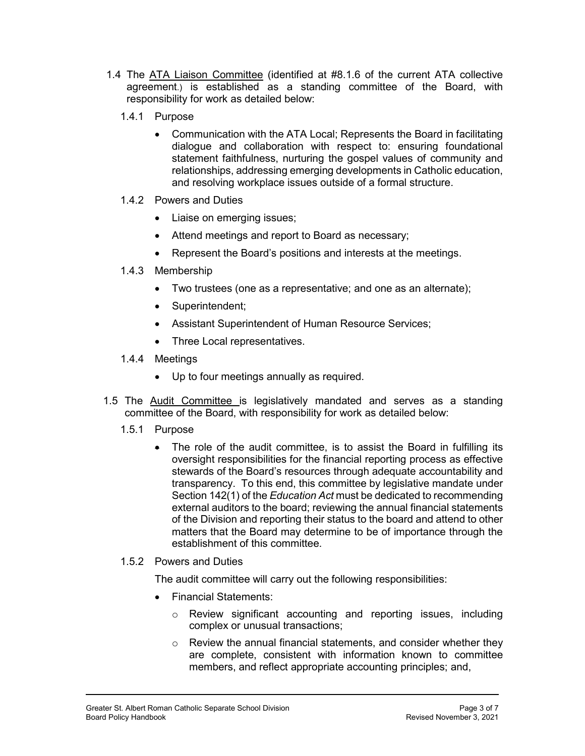- 1.4 The ATA Liaison Committee (identified at #8.1.6 of the current ATA collective agreement.) is established as a standing committee of the Board, with responsibility for work as detailed below:
	- 1.4.1 Purpose
		- Communication with the ATA Local; Represents the Board in facilitating dialogue and collaboration with respect to: ensuring foundational statement faithfulness, nurturing the gospel values of community and relationships, addressing emerging developments in Catholic education, and resolving workplace issues outside of a formal structure.
	- 1.4.2 Powers and Duties
		- Liaise on emerging issues;
		- Attend meetings and report to Board as necessary;
		- Represent the Board's positions and interests at the meetings.
	- 1.4.3 Membership
		- Two trustees (one as a representative; and one as an alternate);
		- Superintendent:
		- Assistant Superintendent of Human Resource Services;
		- Three Local representatives.
	- 1.4.4 Meetings
		- Up to four meetings annually as required.
- 1.5 The Audit Committee is legislatively mandated and serves as a standing committee of the Board, with responsibility for work as detailed below:
	- 1.5.1 Purpose
		- The role of the audit committee, is to assist the Board in fulfilling its oversight responsibilities for the financial reporting process as effective stewards of the Board's resources through adequate accountability and transparency. To this end, this committee by legislative mandate under Section 142(1) of the *Education Act* must be dedicated to recommending external auditors to the board; reviewing the annual financial statements of the Division and reporting their status to the board and attend to other matters that the Board may determine to be of importance through the establishment of this committee.
	- 1.5.2 Powers and Duties

The audit committee will carry out the following responsibilities:

- Financial Statements:
	- o Review significant accounting and reporting issues, including complex or unusual transactions;
	- $\circ$  Review the annual financial statements, and consider whether they are complete, consistent with information known to committee members, and reflect appropriate accounting principles; and,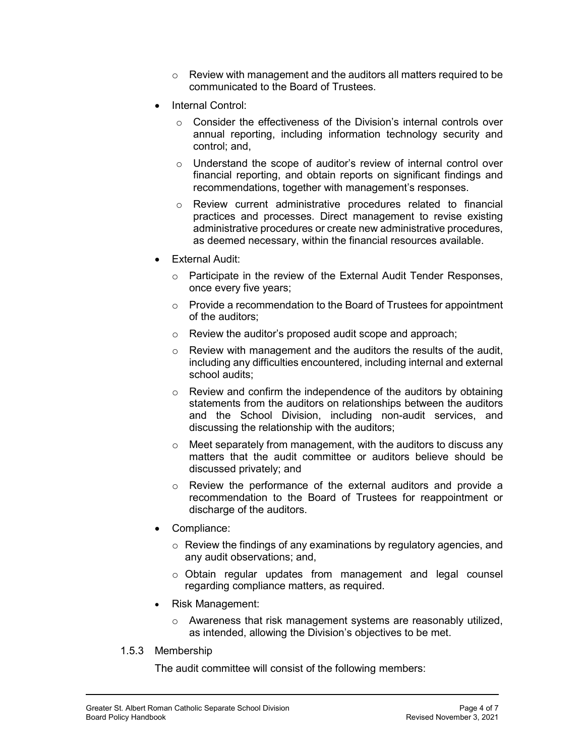- $\circ$  Review with management and the auditors all matters required to be communicated to the Board of Trustees.
- Internal Control:
	- o Consider the effectiveness of the Division's internal controls over annual reporting, including information technology security and control; and,
	- o Understand the scope of auditor's review of internal control over financial reporting, and obtain reports on significant findings and recommendations, together with management's responses.
	- o Review current administrative procedures related to financial practices and processes. Direct management to revise existing administrative procedures or create new administrative procedures, as deemed necessary, within the financial resources available.
- **External Audit:** 
	- o Participate in the review of the External Audit Tender Responses, once every five years;
	- o Provide a recommendation to the Board of Trustees for appointment of the auditors;
	- o Review the auditor's proposed audit scope and approach;
	- o Review with management and the auditors the results of the audit, including any difficulties encountered, including internal and external school audits;
	- $\circ$  Review and confirm the independence of the auditors by obtaining statements from the auditors on relationships between the auditors and the School Division, including non-audit services, and discussing the relationship with the auditors;
	- $\circ$  Meet separately from management, with the auditors to discuss any matters that the audit committee or auditors believe should be discussed privately; and
	- o Review the performance of the external auditors and provide a recommendation to the Board of Trustees for reappointment or discharge of the auditors.
- Compliance:
	- $\circ$  Review the findings of any examinations by regulatory agencies, and any audit observations; and,
	- o Obtain regular updates from management and legal counsel regarding compliance matters, as required.
- Risk Management:
	- o Awareness that risk management systems are reasonably utilized, as intended, allowing the Division's objectives to be met.
- 1.5.3 Membership

The audit committee will consist of the following members: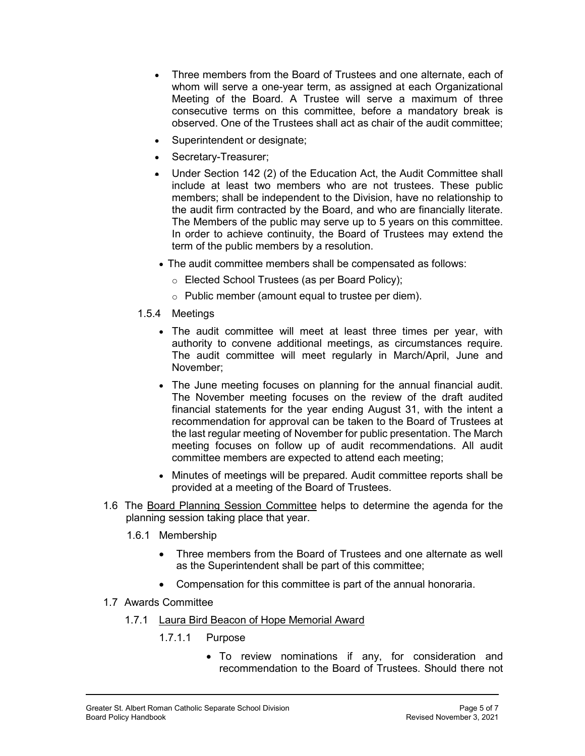- Three members from the Board of Trustees and one alternate, each of whom will serve a one-year term, as assigned at each Organizational Meeting of the Board. A Trustee will serve a maximum of three consecutive terms on this committee, before a mandatory break is observed. One of the Trustees shall act as chair of the audit committee;
- Superintendent or designate;
- Secretary-Treasurer;
- Under Section 142 (2) of the Education Act, the Audit Committee shall include at least two members who are not trustees. These public members; shall be independent to the Division, have no relationship to the audit firm contracted by the Board, and who are financially literate. The Members of the public may serve up to 5 years on this committee. In order to achieve continuity, the Board of Trustees may extend the term of the public members by a resolution.
- The audit committee members shall be compensated as follows:
	- o Elected School Trustees (as per Board Policy);
	- o Public member (amount equal to trustee per diem).
- 1.5.4 Meetings
	- The audit committee will meet at least three times per year, with authority to convene additional meetings, as circumstances require. The audit committee will meet regularly in March/April, June and November;
	- The June meeting focuses on planning for the annual financial audit. The November meeting focuses on the review of the draft audited financial statements for the year ending August 31, with the intent a recommendation for approval can be taken to the Board of Trustees at the last regular meeting of November for public presentation. The March meeting focuses on follow up of audit recommendations. All audit committee members are expected to attend each meeting;
	- Minutes of meetings will be prepared. Audit committee reports shall be provided at a meeting of the Board of Trustees.
- 1.6 The Board Planning Session Committee helps to determine the agenda for the planning session taking place that year.
	- 1.6.1 Membership
		- Three members from the Board of Trustees and one alternate as well as the Superintendent shall be part of this committee;
		- Compensation for this committee is part of the annual honoraria.
- 1.7 Awards Committee
	- 1.7.1 Laura Bird Beacon of Hope Memorial Award
		- 1.7.1.1 Purpose
			- To review nominations if any, for consideration and recommendation to the Board of Trustees. Should there not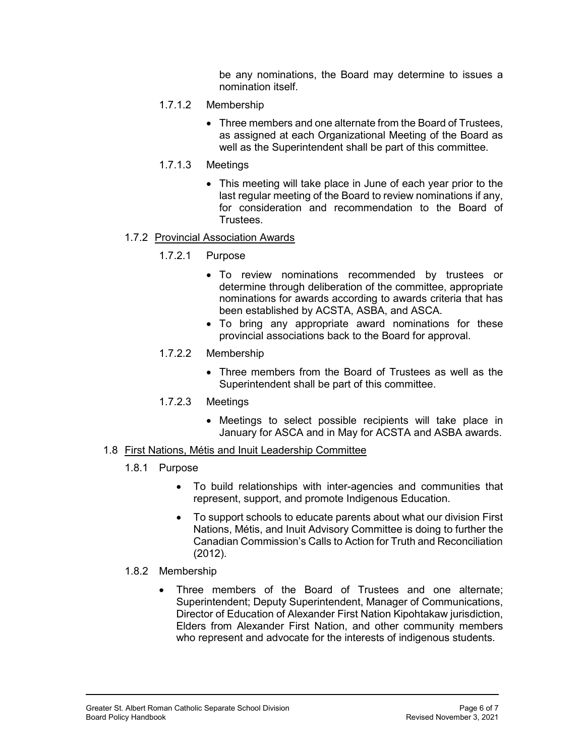be any nominations, the Board may determine to issues a nomination itself.

- 1.7.1.2 Membership
	- Three members and one alternate from the Board of Trustees, as assigned at each Organizational Meeting of the Board as well as the Superintendent shall be part of this committee.
- 1.7.1.3 Meetings
	- This meeting will take place in June of each year prior to the last regular meeting of the Board to review nominations if any, for consideration and recommendation to the Board of Trustees.

### 1.7.2 Provincial Association Awards

## 1.7.2.1 Purpose

- To review nominations recommended by trustees or determine through deliberation of the committee, appropriate nominations for awards according to awards criteria that has been established by ACSTA, ASBA, and ASCA.
- To bring any appropriate award nominations for these provincial associations back to the Board for approval.

## 1.7.2.2 Membership

- Three members from the Board of Trustees as well as the Superintendent shall be part of this committee.
- 1.7.2.3 Meetings
	- Meetings to select possible recipients will take place in January for ASCA and in May for ACSTA and ASBA awards.

### 1.8 First Nations, Métis and Inuit Leadership Committee

- 1.8.1 Purpose
	- To build relationships with inter-agencies and communities that represent, support, and promote Indigenous Education.
	- To support schools to educate parents about what our division First Nations, Métis, and Inuit Advisory Committee is doing to further the Canadian Commission's Calls to Action for Truth and Reconciliation (2012).
- 1.8.2 Membership
	- Three members of the Board of Trustees and one alternate; Superintendent; Deputy Superintendent, Manager of Communications, Director of Education of Alexander First Nation Kipohtakaw jurisdiction, Elders from Alexander First Nation, and other community members who represent and advocate for the interests of indigenous students.